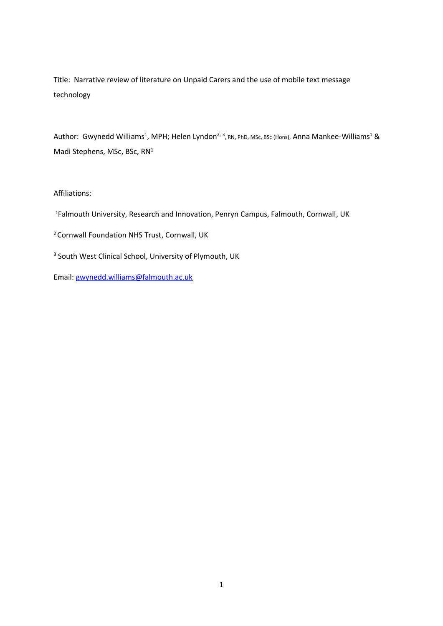Title: Narrative review of literature on Unpaid Carers and the use of mobile text message technology

Author: Gwynedd Williams<sup>1</sup>, MPH; Helen Lyndon<sup>2, 3</sup>, RN, PhD, MSc, BSc (Hons), Anna Mankee-Williams<sup>1</sup> & Madi Stephens, MSc, BSc, RN<sup>1</sup>

# Affiliations:

- <sup>1</sup>Falmouth University, Research and Innovation, Penryn Campus, Falmouth, Cornwall, UK
- <sup>2</sup> Cornwall Foundation NHS Trust, Cornwall, UK
- <sup>3</sup> South West Clinical School, University of Plymouth, UK

Email: [gwynedd.williams@falmouth.ac.uk](mailto:gwynedd.williams@falmouth.ac.uk)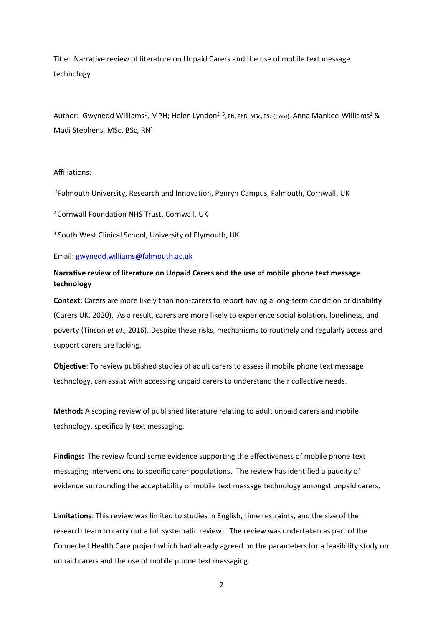Title: Narrative review of literature on Unpaid Carers and the use of mobile text message technology

Author: Gwynedd Williams<sup>1</sup>, MPH; Helen Lyndon<sup>2, 3</sup>, RN, PhD, MSc, BSc (Hons), Anna Mankee-Williams<sup>1</sup> & Madi Stephens, MSc, BSc, RN<sup>1</sup>

#### Affiliations:

<sup>1</sup>Falmouth University, Research and Innovation, Penryn Campus, Falmouth, Cornwall, UK

<sup>2</sup>Cornwall Foundation NHS Trust, Cornwall, UK

<sup>3</sup> South West Clinical School, University of Plymouth, UK

Email: [gwynedd.williams@falmouth.ac.uk](mailto:gwynedd.williams@falmouth.ac.uk)

# **Narrative review of literature on Unpaid Carers and the use of mobile phone text message technology**

**Context**: Carers are more likely than non-carers to report having a long-term condition or disability (Carers UK, 2020). As a result, carers are more likely to experience social isolation, loneliness, and poverty (Tinson *et al*., 2016). Despite these risks, mechanisms to routinely and regularly access and support carers are lacking.

**Objective**: To review published studies of adult carers to assess if mobile phone text message technology, can assist with accessing unpaid carers to understand their collective needs.

**Method:** A scoping review of published literature relating to adult unpaid carers and mobile technology, specifically text messaging.

**Findings:** The review found some evidence supporting the effectiveness of mobile phone text messaging interventions to specific carer populations. The review has identified a paucity of evidence surrounding the acceptability of mobile text message technology amongst unpaid carers.

**Limitations**: This review was limited to studies in English, time restraints, and the size of the research team to carry out a full systematic review. The review was undertaken as part of the Connected Health Care project which had already agreed on the parameters for a feasibility study on unpaid carers and the use of mobile phone text messaging.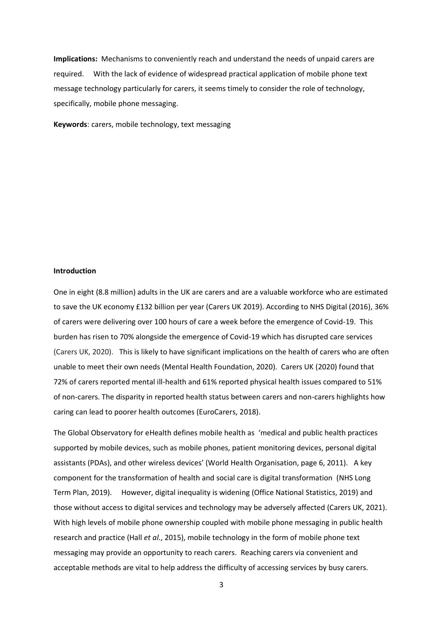**Implications:** Mechanisms to conveniently reach and understand the needs of unpaid carers are required. With the lack of evidence of widespread practical application of mobile phone text message technology particularly for carers, it seems timely to consider the role of technology, specifically, mobile phone messaging.

**Keywords**: carers, mobile technology, text messaging

#### **Introduction**

One in eight (8.8 million) adults in the UK are carers and are a valuable workforce who are estimated to save the UK economy £132 billion per year (Carers UK 2019). According to NHS Digital (2016), 36% of carers were delivering over 100 hours of care a week before the emergence of Covid-19. This burden has risen to 70% alongside the emergence of Covid-19 which has disrupted care services (Carers UK, 2020). This is likely to have significant implications on the health of carers who are often unable to meet their own needs (Mental Health Foundation, 2020). Carers UK (2020) found that 72% of carers reported mental ill-health and 61% reported physical health issues compared to 51% of non-carers. The disparity in reported health status between carers and non-carers highlights how caring can lead to poorer health outcomes (EuroCarers, 2018).

The Global Observatory for eHealth defines mobile health as 'medical and public health practices supported by mobile devices, such as mobile phones, patient monitoring devices, personal digital assistants (PDAs), and other wireless devices' (World Health Organisation, page 6, 2011). A key component for the transformation of health and social care is digital transformation (NHS Long Term Plan, 2019). However, digital inequality is widening (Office National Statistics, 2019) and those without access to digital services and technology may be adversely affected (Carers UK, 2021). With high levels of mobile phone ownership coupled with mobile phone messaging in public health research and practice (Hall *et al.*, 2015), mobile technology in the form of mobile phone text messaging may provide an opportunity to reach carers. Reaching carers via convenient and acceptable methods are vital to help address the difficulty of accessing services by busy carers.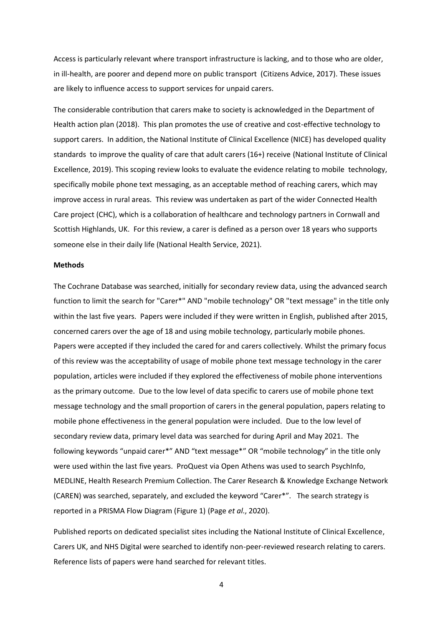Access is particularly relevant where transport infrastructure is lacking, and to those who are older, in ill-health, are poorer and depend more on public transport (Citizens Advice, 2017). These issues are likely to influence access to support services for unpaid carers.

The considerable contribution that carers make to society is acknowledged in the Department of Health action plan (2018). This plan promotes the use of creative and cost-effective technology to support carers. In addition, the National Institute of Clinical Excellence (NICE) has developed quality standards to improve the quality of care that adult carers (16+) receive (National Institute of Clinical Excellence, 2019). This scoping review looks to evaluate the evidence relating to mobile technology, specifically mobile phone text messaging, as an acceptable method of reaching carers, which may improve access in rural areas. This review was undertaken as part of the wider Connected Health Care project (CHC), which is a collaboration of healthcare and technology partners in Cornwall and Scottish Highlands, UK. For this review, a carer is defined as a person over 18 years who supports someone else in their daily life (National Health Service, 2021).

#### **Methods**

The Cochrane Database was searched, initially for secondary review data, using the advanced search function to limit the search for "Carer\*" AND "mobile technology" OR "text message" in the title only within the last five years. Papers were included if they were written in English, published after 2015, concerned carers over the age of 18 and using mobile technology, particularly mobile phones. Papers were accepted if they included the cared for and carers collectively. Whilst the primary focus of this review was the acceptability of usage of mobile phone text message technology in the carer population, articles were included if they explored the effectiveness of mobile phone interventions as the primary outcome. Due to the low level of data specific to carers use of mobile phone text message technology and the small proportion of carers in the general population, papers relating to mobile phone effectiveness in the general population were included. Due to the low level of secondary review data, primary level data was searched for during April and May 2021. The following keywords "unpaid carer\*" AND "text message\*" OR "mobile technology" in the title only were used within the last five years. ProQuest via Open Athens was used to search PsychInfo, MEDLINE, Health Research Premium Collection. The Carer Research & Knowledge Exchange Network (CAREN) was searched, separately, and excluded the keyword "Carer\*". The search strategy is reported in a PRISMA Flow Diagram (Figure 1) (Page *et al*., 2020).

Published reports on dedicated specialist sites including the National Institute of Clinical Excellence, Carers UK, and NHS Digital were searched to identify non-peer-reviewed research relating to carers. Reference lists of papers were hand searched for relevant titles.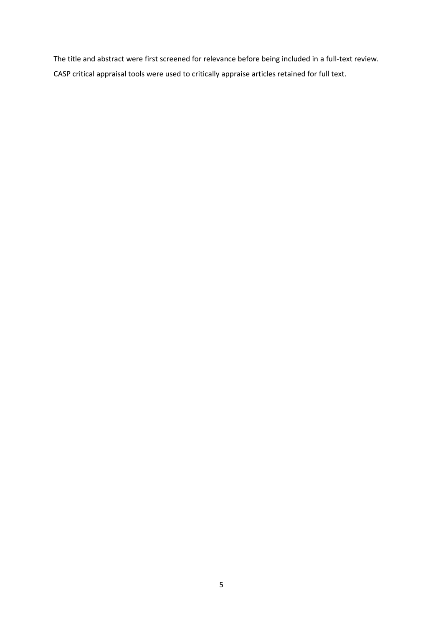The title and abstract were first screened for relevance before being included in a full-text review. CASP critical appraisal tools were used to critically appraise articles retained for full text.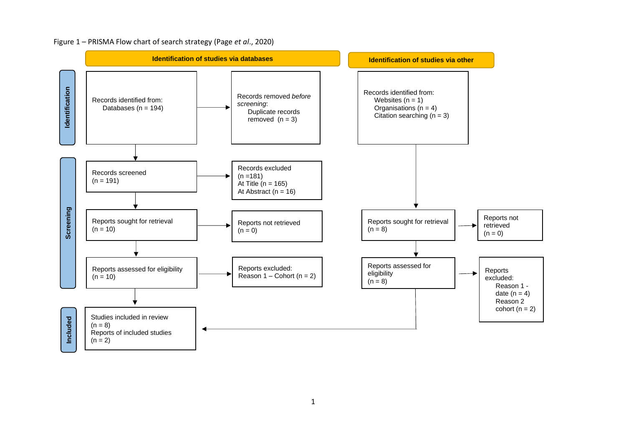# Figure 1 – PRISMA Flow chart of search strategy (Page *et al*., 2020)

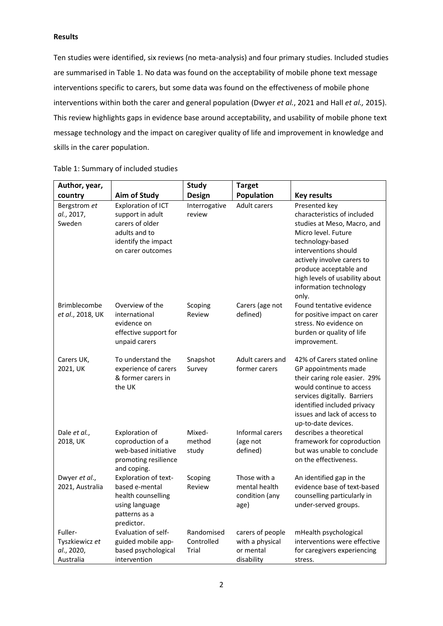# **Results**

Ten studies were identified, six reviews (no meta-analysis) and four primary studies. Included studies are summarised in Table 1. No data was found on the acceptability of mobile phone text message interventions specific to carers, but some data was found on the effectiveness of mobile phone interventions within both the carer and general population (Dwyer *et al.*, 2021 and Hall *et al.,* 2015). This review highlights gaps in evidence base around acceptability, and usability of mobile phone text message technology and the impact on caregiver quality of life and improvement in knowledge and skills in the carer population.

| Author, year,                                        |                                                                                                                        | <b>Study</b>                      | <b>Target</b>                                                  |                                                                                                                                                                                                                                                                             |
|------------------------------------------------------|------------------------------------------------------------------------------------------------------------------------|-----------------------------------|----------------------------------------------------------------|-----------------------------------------------------------------------------------------------------------------------------------------------------------------------------------------------------------------------------------------------------------------------------|
| country                                              | <b>Aim of Study</b>                                                                                                    | <b>Design</b>                     | Population                                                     | <b>Key results</b>                                                                                                                                                                                                                                                          |
| Bergstrom et<br>al., 2017,<br>Sweden                 | Exploration of ICT<br>support in adult<br>carers of older<br>adults and to<br>identify the impact<br>on carer outcomes | Interrogative<br>review           | <b>Adult carers</b>                                            | Presented key<br>characteristics of included<br>studies at Meso, Macro, and<br>Micro level. Future<br>technology-based<br>interventions should<br>actively involve carers to<br>produce acceptable and<br>high levels of usability about<br>information technology<br>only. |
| <b>Brimblecombe</b><br>et al., 2018, UK              | Overview of the<br>international<br>evidence on<br>effective support for<br>unpaid carers                              | Scoping<br>Review                 | Carers (age not<br>defined)                                    | Found tentative evidence<br>for positive impact on carer<br>stress. No evidence on<br>burden or quality of life<br>improvement.                                                                                                                                             |
| Carers UK,<br>2021, UK                               | To understand the<br>experience of carers<br>& former carers in<br>the UK                                              | Snapshot<br>Survey                | Adult carers and<br>former carers                              | 42% of Carers stated online<br>GP appointments made<br>their caring role easier. 29%<br>would continue to access<br>services digitally. Barriers<br>identified included privacy<br>issues and lack of access to<br>up-to-date devices.                                      |
| Dale et al.,<br>2018, UK                             | <b>Exploration of</b><br>coproduction of a<br>web-based initiative<br>promoting resilience<br>and coping.              | Mixed-<br>method<br>study         | Informal carers<br>(age not<br>defined)                        | describes a theoretical<br>framework for coproduction<br>but was unable to conclude<br>on the effectiveness.                                                                                                                                                                |
| Dwyer et al.,<br>2021, Australia                     | Exploration of text-<br>based e-mental<br>health counselling<br>using language<br>patterns as a<br>predictor.          | Scoping<br>Review                 | Those with a<br>mental health<br>condition (any<br>age)        | An identified gap in the<br>evidence base of text-based<br>counselling particularly in<br>under-served groups.                                                                                                                                                              |
| Fuller-<br>Tyszkiewicz et<br>al., 2020,<br>Australia | Evaluation of self-<br>guided mobile app-<br>based psychological<br>intervention                                       | Randomised<br>Controlled<br>Trial | carers of people<br>with a physical<br>or mental<br>disability | mHealth psychological<br>interventions were effective<br>for caregivers experiencing<br>stress.                                                                                                                                                                             |

Table 1: Summary of included studies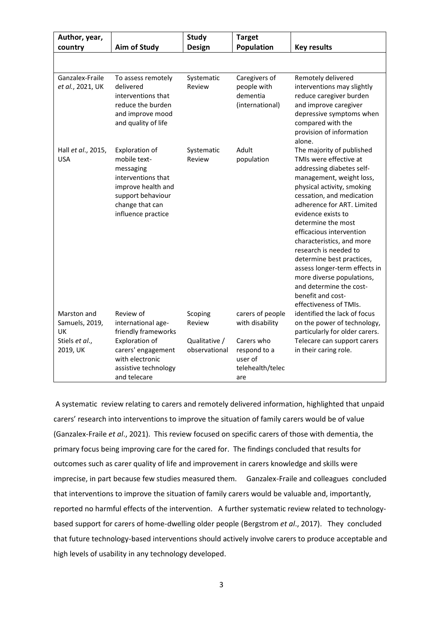| Author, year,                                                     |                                                                                                                                                           | <b>Study</b>                                        | <b>Target</b>                                                                                           |                                                                                                                                                                                                                                                                                                                                                                                                                                                                                                          |
|-------------------------------------------------------------------|-----------------------------------------------------------------------------------------------------------------------------------------------------------|-----------------------------------------------------|---------------------------------------------------------------------------------------------------------|----------------------------------------------------------------------------------------------------------------------------------------------------------------------------------------------------------------------------------------------------------------------------------------------------------------------------------------------------------------------------------------------------------------------------------------------------------------------------------------------------------|
| country                                                           | <b>Aim of Study</b>                                                                                                                                       | <b>Design</b>                                       | Population                                                                                              | <b>Key results</b>                                                                                                                                                                                                                                                                                                                                                                                                                                                                                       |
|                                                                   |                                                                                                                                                           |                                                     |                                                                                                         |                                                                                                                                                                                                                                                                                                                                                                                                                                                                                                          |
| Ganzalex-Fraile<br>et al., 2021, UK                               | To assess remotely<br>delivered<br>interventions that<br>reduce the burden<br>and improve mood<br>and quality of life                                     | Systematic<br>Review                                | Caregivers of<br>people with<br>dementia<br>(international)                                             | Remotely delivered<br>interventions may slightly<br>reduce caregiver burden<br>and improve caregiver<br>depressive symptoms when<br>compared with the<br>provision of information<br>alone.                                                                                                                                                                                                                                                                                                              |
| Hall et al., 2015,<br><b>USA</b>                                  | Exploration of<br>mobile text-<br>messaging<br>interventions that<br>improve health and<br>support behaviour<br>change that can<br>influence practice     | Systematic<br>Review                                | Adult<br>population                                                                                     | The majority of published<br>TMIs were effective at<br>addressing diabetes self-<br>management, weight loss,<br>physical activity, smoking<br>cessation, and medication<br>adherence for ART. Limited<br>evidence exists to<br>determine the most<br>efficacious intervention<br>characteristics, and more<br>research is needed to<br>determine best practices,<br>assess longer-term effects in<br>more diverse populations,<br>and determine the cost-<br>benefit and cost-<br>effectiveness of TMIs. |
| Marston and<br>Samuels, 2019,<br>UK<br>Stiels et al.,<br>2019, UK | Review of<br>international age-<br>friendly frameworks<br>Exploration of<br>carers' engagement<br>with electronic<br>assistive technology<br>and telecare | Scoping<br>Review<br>Qualitative /<br>observational | carers of people<br>with disability<br>Carers who<br>respond to a<br>user of<br>telehealth/telec<br>are | identified the lack of focus<br>on the power of technology,<br>particularly for older carers.<br>Telecare can support carers<br>in their caring role.                                                                                                                                                                                                                                                                                                                                                    |

A systematic review relating to carers and remotely delivered information, highlighted that unpaid carers' research into interventions to improve the situation of family carers would be of value (Ganzalex-Fraile *et al*., 2021). This review focused on specific carers of those with dementia, the primary focus being improving care for the cared for. The findings concluded that results for outcomes such as carer quality of life and improvement in carers knowledge and skills were imprecise, in part because few studies measured them. Ganzalex-Fraile and colleagues concluded that interventions to improve the situation of family carers would be valuable and, importantly, reported no harmful effects of the intervention. A further systematic review related to technologybased support for carers of home-dwelling older people (Bergstrom *et al*., 2017). They concluded that future technology-based interventions should actively involve carers to produce acceptable and high levels of usability in any technology developed.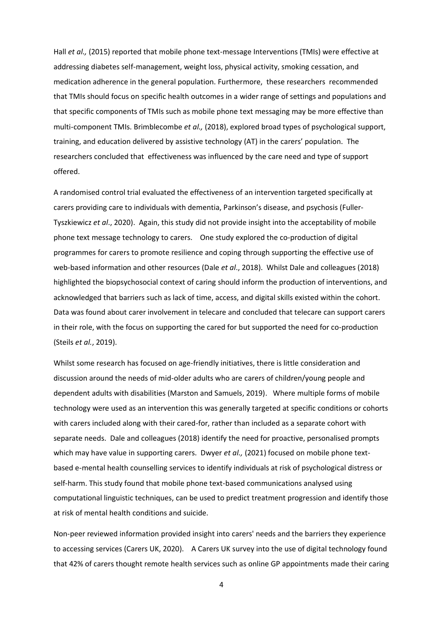Hall *et al.*, (2015) reported that mobile phone text-message Interventions (TMIs) were effective at addressing diabetes self-management, weight loss, physical activity, smoking cessation, and medication adherence in the general population. Furthermore, these researchers recommended that TMIs should focus on specific health outcomes in a wider range of settings and populations and that specific components of TMIs such as mobile phone text messaging may be more effective than multi-component TMIs. Brimblecombe *et al.,* (2018), explored broad types of psychological support, training, and education delivered by assistive technology (AT) in the carers' population. The researchers concluded that effectiveness was influenced by the care need and type of support offered.

A randomised control trial evaluated the effectiveness of an intervention targeted specifically at carers providing care to individuals with dementia, Parkinson's disease, and psychosis (Fuller-Tyszkiewicz *et al*., 2020). Again, this study did not provide insight into the acceptability of mobile phone text message technology to carers. One study explored the co-production of digital programmes for carers to promote resilience and coping through supporting the effective use of web-based information and other resources (Dale *et al*., 2018). Whilst Dale and colleagues (2018) highlighted the biopsychosocial context of caring should inform the production of interventions, and acknowledged that barriers such as lack of time, access, and digital skills existed within the cohort. Data was found about carer involvement in telecare and concluded that telecare can support carers in their role, with the focus on supporting the cared for but supported the need for co-production (Steils *et al.*, 2019).

Whilst some research has focused on age-friendly initiatives, there is little consideration and discussion around the needs of mid-older adults who are carers of children/young people and dependent adults with disabilities (Marston and Samuels, 2019). Where multiple forms of mobile technology were used as an intervention this was generally targeted at specific conditions or cohorts with carers included along with their cared-for, rather than included as a separate cohort with separate needs. Dale and colleagues (2018) identify the need for proactive, personalised prompts which may have value in supporting carers. Dwyer *et al.*, (2021) focused on mobile phone textbased e-mental health counselling services to identify individuals at risk of psychological distress or self-harm. This study found that mobile phone text-based communications analysed using computational linguistic techniques, can be used to predict treatment progression and identify those at risk of mental health conditions and suicide.

Non-peer reviewed information provided insight into carers' needs and the barriers they experience to accessing services (Carers UK, 2020). A Carers UK survey into the use of digital technology found that 42% of carers thought remote health services such as online GP appointments made their caring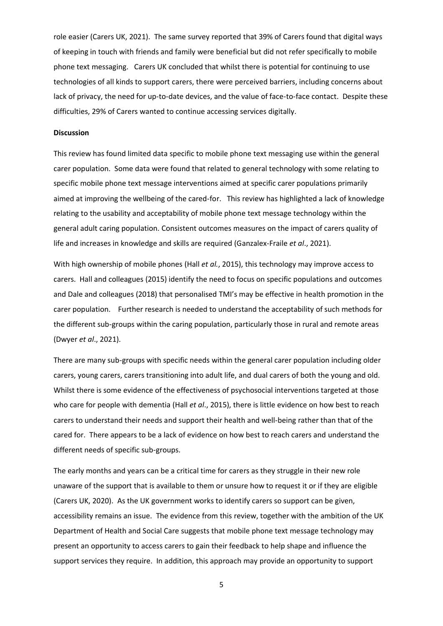role easier (Carers UK, 2021). The same survey reported that 39% of Carers found that digital ways of keeping in touch with friends and family were beneficial but did not refer specifically to mobile phone text messaging. Carers UK concluded that whilst there is potential for continuing to use technologies of all kinds to support carers, there were perceived barriers, including concerns about lack of privacy, the need for up-to-date devices, and the value of face-to-face contact. Despite these difficulties, 29% of Carers wanted to continue accessing services digitally.

#### **Discussion**

This review has found limited data specific to mobile phone text messaging use within the general carer population. Some data were found that related to general technology with some relating to specific mobile phone text message interventions aimed at specific carer populations primarily aimed at improving the wellbeing of the cared-for. This review has highlighted a lack of knowledge relating to the usability and acceptability of mobile phone text message technology within the general adult caring population. Consistent outcomes measures on the impact of carers quality of life and increases in knowledge and skills are required (Ganzalex-Fraile *et al*., 2021).

With high ownership of mobile phones (Hall *et al.*, 2015), this technology may improve access to carers. Hall and colleagues (2015) identify the need to focus on specific populations and outcomes and Dale and colleagues (2018) that personalised TMI's may be effective in health promotion in the carer population. Further research is needed to understand the acceptability of such methods for the different sub-groups within the caring population, particularly those in rural and remote areas (Dwyer *et al*., 2021).

There are many sub-groups with specific needs within the general carer population including older carers, young carers, carers transitioning into adult life, and dual carers of both the young and old. Whilst there is some evidence of the effectiveness of psychosocial interventions targeted at those who care for people with dementia (Hall *et al*., 2015), there is little evidence on how best to reach carers to understand their needs and support their health and well-being rather than that of the cared for. There appears to be a lack of evidence on how best to reach carers and understand the different needs of specific sub-groups.

The early months and years can be a critical time for carers as they struggle in their new role unaware of the support that is available to them or unsure how to request it or if they are eligible (Carers UK, 2020). As the UK government works to identify carers so support can be given, accessibility remains an issue. The evidence from this review, together with the ambition of the UK Department of Health and Social Care suggests that mobile phone text message technology may present an opportunity to access carers to gain their feedback to help shape and influence the support services they require. In addition, this approach may provide an opportunity to support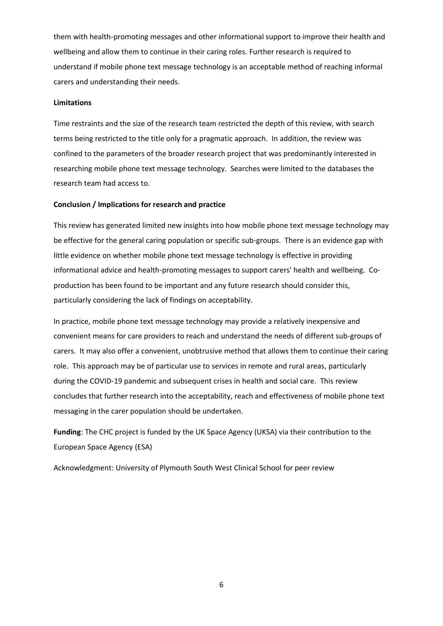them with health-promoting messages and other informational support to improve their health and wellbeing and allow them to continue in their caring roles. Further research is required to understand if mobile phone text message technology is an acceptable method of reaching informal carers and understanding their needs.

### **Limitations**

Time restraints and the size of the research team restricted the depth of this review, with search terms being restricted to the title only for a pragmatic approach. In addition, the review was confined to the parameters of the broader research project that was predominantly interested in researching mobile phone text message technology. Searches were limited to the databases the research team had access to.

### **Conclusion / Implications for research and practice**

This review has generated limited new insights into how mobile phone text message technology may be effective for the general caring population or specific sub-groups. There is an evidence gap with little evidence on whether mobile phone text message technology is effective in providing informational advice and health-promoting messages to support carers' health and wellbeing. Coproduction has been found to be important and any future research should consider this, particularly considering the lack of findings on acceptability.

In practice, mobile phone text message technology may provide a relatively inexpensive and convenient means for care providers to reach and understand the needs of different sub-groups of carers. It may also offer a convenient, unobtrusive method that allows them to continue their caring role. This approach may be of particular use to services in remote and rural areas, particularly during the COVID-19 pandemic and subsequent crises in health and social care. This review concludes that further research into the acceptability, reach and effectiveness of mobile phone text messaging in the carer population should be undertaken.

**Funding**: The CHC project is funded by the UK Space Agency (UKSA) via their contribution to the European Space Agency (ESA)

Acknowledgment: University of Plymouth South West Clinical School for peer review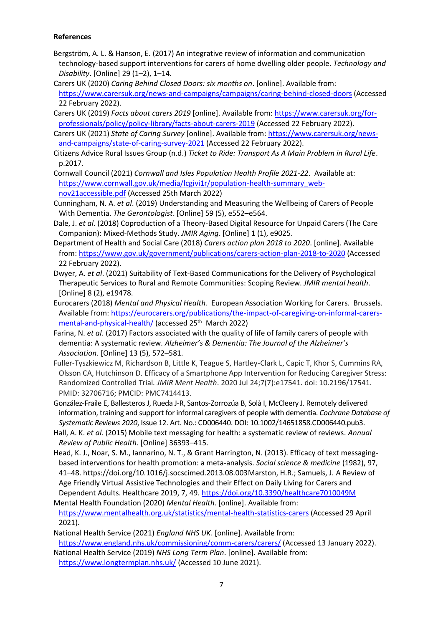# **References**

- Bergström, A. L. & Hanson, E. (2017) An integrative review of information and communication technology-based support interventions for carers of home dwelling older people. *Technology and Disability*. [Online] 29 (1–2), 1–14.
- Carers UK (2020) *Caring Behind Closed Doors: six months on*. [online]. Available from: <https://www.carersuk.org/news-and-campaigns/campaigns/caring-behind-closed-doors> (Accessed 22 February 2022).
- Carers UK (2019) *Facts about carers 2019* [online]. Available from: [https://www.carersuk.org/for](https://www.carersuk.org/for-professionals/policy/policy-library/facts-about-carers-2019)[professionals/policy/policy-library/facts-about-carers-2019](https://www.carersuk.org/for-professionals/policy/policy-library/facts-about-carers-2019) (Accessed 22 February 2022).
- Carers UK (2021) *State of Caring Survey* [online]. Available from: [https://www.carersuk.org/news](https://www.carersuk.org/news-and-campaigns/state-of-caring-survey-2021)[and-campaigns/state-of-caring-survey-2021](https://www.carersuk.org/news-and-campaigns/state-of-caring-survey-2021) (Accessed 22 February 2022).
- Citizens Advice Rural Issues Group (n.d.) *Ticket to Ride: Transport As A Main Problem in Rural Life*. p.2017.
- Cornwall Council (2021) *Cornwall and Isles Population Health Profile 2021-22*. Available at: [https://www.cornwall.gov.uk/media/lcgivi1r/population-health-summary\\_web](https://www.cornwall.gov.uk/media/lcgivi1r/population-health-summary_web-nov21accessible.pdf)[nov21accessible.pdf](https://www.cornwall.gov.uk/media/lcgivi1r/population-health-summary_web-nov21accessible.pdf) (Accessed 25th March 2022)
- Cunningham, N. A. *et al*. (2019) Understanding and Measuring the Wellbeing of Carers of People With Dementia. *The Gerontologist*. [Online] 59 (5), e552–e564.
- Dale, J. *et al*. (2018) Coproduction of a Theory-Based Digital Resource for Unpaid Carers (The Care Companion): Mixed-Methods Study. *JMIR Aging*. [Online] 1 (1), e9025.
- Department of Health and Social Care (2018) *Carers action plan 2018 to 2020*. [online]. Available from:<https://www.gov.uk/government/publications/carers-action-plan-2018-to-2020> (Accessed 22 February 2022).
- Dwyer, A. *et al*. (2021) Suitability of Text-Based Communications for the Delivery of Psychological Therapeutic Services to Rural and Remote Communities: Scoping Review. *JMIR mental health*. [Online] 8 (2), e19478.
- Eurocarers (2018) *Mental and Physical Health*. European Association Working for Carers. Brussels. Available from: [https://eurocarers.org/publications/the-impact-of-caregiving-on-informal-carers](https://eurocarers.org/publications/the-impact-of-caregiving-on-informal-carers-mental-and-physical-health/)[mental-and-physical-health/](https://eurocarers.org/publications/the-impact-of-caregiving-on-informal-carers-mental-and-physical-health/) (accessed 25<sup>th</sup> March 2022)
- Farina, N. *et al*. (2017) Factors associated with the quality of life of family carers of people with dementia: A systematic review. *Alzheimer's & Dementia: The Journal of the Alzheimer's Association*. [Online] 13 (5), 572–581.
- Fuller-Tyszkiewicz M, Richardson B, Little K, Teague S, Hartley-Clark L, Capic T, Khor S, Cummins RA, Olsson CA, Hutchinson D. Efficacy of a Smartphone App Intervention for Reducing Caregiver Stress: Randomized Controlled Trial*. JMIR Ment Health*. 2020 Jul 24;7(7):e17541. doi: 10.2196/17541. PMID: 32706716; PMCID: PMC7414413.
- González-Fraile E, Ballesteros J, Rueda J-R, Santos-Zorrozúa B, Solà I, McCleery J. Remotely delivered information, training and support for informal caregivers of people with dementia. *Cochrane Database of Systematic Reviews 2020*, Issue 12. Art. No.: CD006440. DOI: 10.1002/14651858.CD006440.pub3.
- Hall, A. K. *et al*. (2015) Mobile text messaging for health: a systematic review of reviews. *Annual Review of Public Health*. [Online] 36393–415.
- Head, K. J., Noar, S. M., Iannarino, N. T., & Grant Harrington, N. (2013). Efficacy of text messagingbased interventions for health promotion: a meta-analysis. *Social science & medicine* (1982), 97, 41–48. https://doi.org/10.1016/j.socscimed.2013.08.003Marston, H.R.; Samuels, J. A Review of Age Friendly Virtual Assistive Technologies and their Effect on Daily Living for Carers and Dependent Adults. Healthcare 2019, 7, 49.<https://doi.org/10.3390/healthcare7010049M>
- Mental Health Foundation (2020) *Mental Health*. [online]. Available from: <https://www.mentalhealth.org.uk/statistics/mental-health-statistics-carers> (Accessed 29 April 2021).
- National Health Service (2021) *England NHS UK*. [online]. Available from: <https://www.england.nhs.uk/commissioning/comm-carers/carers/> (Accessed 13 January 2022).
- National Health Service (2019) *NHS Long Term Plan*. [online]. Available from: <https://www.longtermplan.nhs.uk/> (Accessed 10 June 2021).